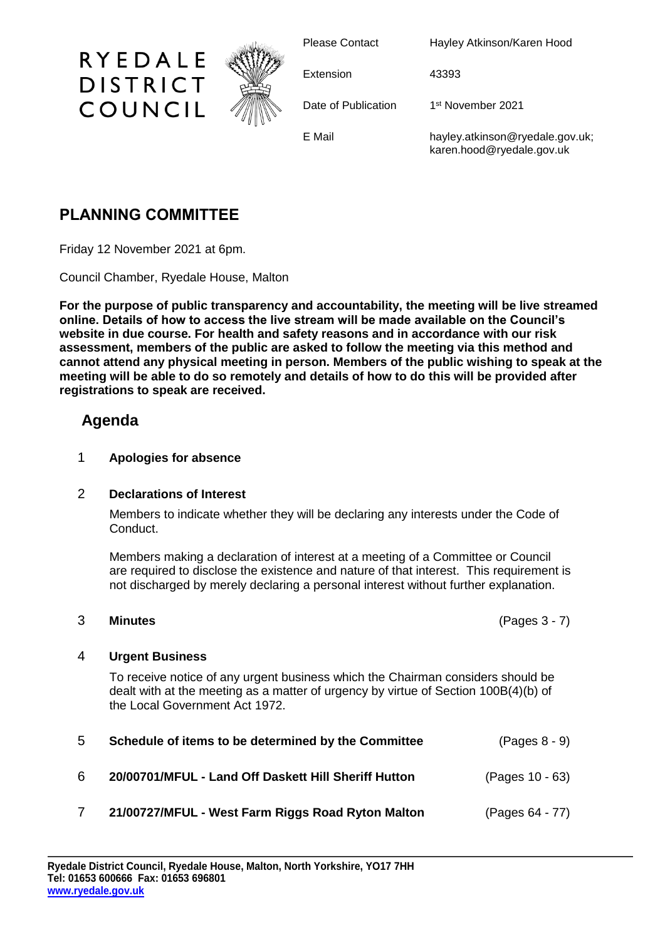

Please Contact Hayley Atkinson/Karen Hood

Extension 43393

Date of Publication

1st November 2021

E Mail hayley.atkinson@ryedale.gov.uk; karen.hood@ryedale.gov.uk

# **PLANNING COMMITTEE**

RYEDALE

**DISTRICT** 

COUNCIL

Friday 12 November 2021 at 6pm.

Council Chamber, Ryedale House, Malton

**For the purpose of public transparency and accountability, the meeting will be live streamed online. Details of how to access the live stream will be made available on the Council's website in due course. For health and safety reasons and in accordance with our risk assessment, members of the public are asked to follow the meeting via this method and cannot attend any physical meeting in person. Members of the public wishing to speak at the meeting will be able to do so remotely and details of how to do this will be provided after registrations to speak are received.**

## **Agenda**

#### 1 **Apologies for absence**

#### 2 **Declarations of Interest**

Members to indicate whether they will be declaring any interests under the Code of Conduct.

Members making a declaration of interest at a meeting of a Committee or Council are required to disclose the existence and nature of that interest. This requirement is not discharged by merely declaring a personal interest without further explanation.

3 **Minutes** (Pages 3 - 7)

### 4 **Urgent Business**

To receive notice of any urgent business which the Chairman considers should be dealt with at the meeting as a matter of urgency by virtue of Section 100B(4)(b) of the Local Government Act 1972.

| 5 | Schedule of items to be determined by the Committee  | $(Pages 8 - 9)$ |
|---|------------------------------------------------------|-----------------|
| 6 | 20/00701/MFUL - Land Off Daskett Hill Sheriff Hutton | (Pages 10 - 63) |
|   | 21/00727/MFUL - West Farm Riggs Road Ryton Malton    | (Pages 64 - 77) |